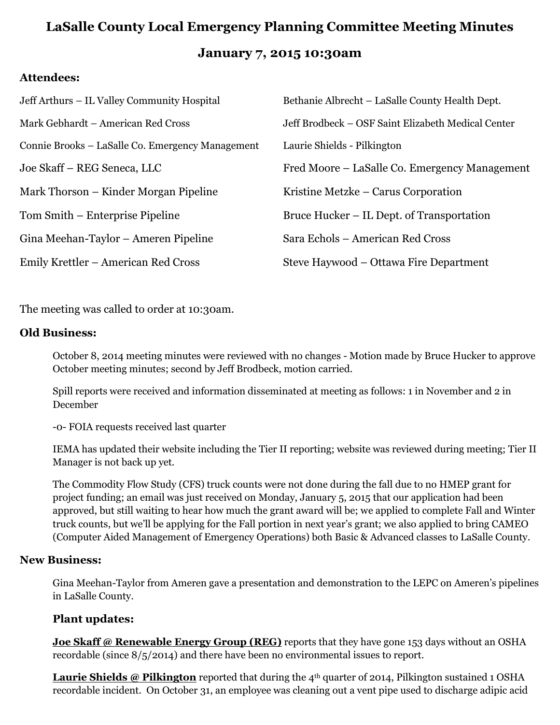# **LaSalle County Local Emergency Planning Committee Meeting Minutes January 7, 2015 10:30am**

### **Attendees:**

| Jeff Arthurs - IL Valley Community Hospital      | Bethanie Albrecht – LaSalle County Health Dept.    |
|--------------------------------------------------|----------------------------------------------------|
| Mark Gebhardt – American Red Cross               | Jeff Brodbeck – OSF Saint Elizabeth Medical Center |
| Connie Brooks – LaSalle Co. Emergency Management | Laurie Shields - Pilkington                        |
| Joe Skaff – REG Seneca, LLC                      | Fred Moore – LaSalle Co. Emergency Management      |
| Mark Thorson – Kinder Morgan Pipeline            | Kristine Metzke – Carus Corporation                |
| Tom Smith – Enterprise Pipeline                  | Bruce Hucker – IL Dept. of Transportation          |
| Gina Meehan-Taylor – Ameren Pipeline             | Sara Echols – American Red Cross                   |
| Emily Krettler – American Red Cross              | Steve Haywood – Ottawa Fire Department             |

The meeting was called to order at 10:30am.

### **Old Business:**

October 8, 2014 meeting minutes were reviewed with no changes - Motion made by Bruce Hucker to approve October meeting minutes; second by Jeff Brodbeck, motion carried.

Spill reports were received and information disseminated at meeting as follows: 1 in November and 2 in December

-0- FOIA requests received last quarter

IEMA has updated their website including the Tier II reporting; website was reviewed during meeting; Tier II Manager is not back up yet.

The Commodity Flow Study (CFS) truck counts were not done during the fall due to no HMEP grant for project funding; an email was just received on Monday, January 5, 2015 that our application had been approved, but still waiting to hear how much the grant award will be; we applied to complete Fall and Winter truck counts, but we'll be applying for the Fall portion in next year's grant; we also applied to bring CAMEO (Computer Aided Management of Emergency Operations) both Basic & Advanced classes to LaSalle County.

#### **New Business:**

Gina Meehan-Taylor from Ameren gave a presentation and demonstration to the LEPC on Ameren's pipelines in LaSalle County.

### **Plant updates:**

**Joe Skaff @ Renewable Energy Group (REG)** reports that they have gone 153 days without an OSHA recordable (since 8/5/2014) and there have been no environmental issues to report.

**Laurie Shields @ Pilkington** reported that during the 4<sup>th</sup> quarter of 2014, Pilkington sustained 1 OSHA recordable incident. On October 31, an employee was cleaning out a vent pipe used to discharge adipic acid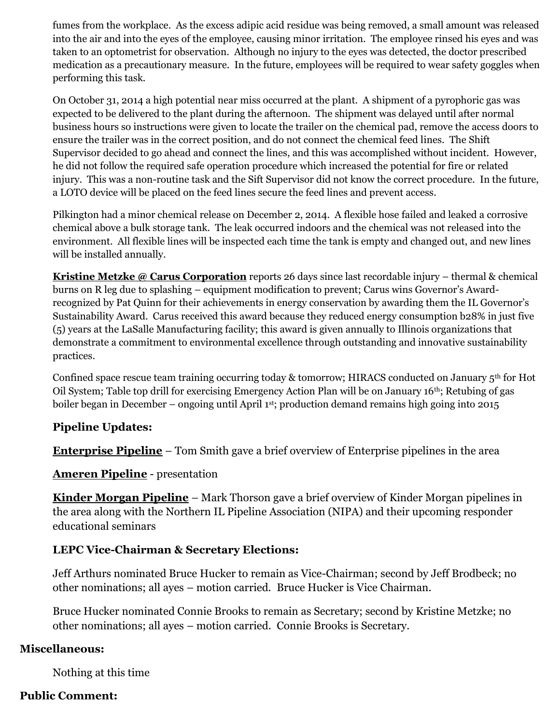fumes from the workplace. As the excess adipic acid residue was being removed, a small amount was released into the air and into the eyes of the employee, causing minor irritation. The employee rinsed his eyes and was taken to an optometrist for observation. Although no injury to the eyes was detected, the doctor prescribed medication as a precautionary measure. In the future, employees will be required to wear safety goggles when performing this task.

On October 31, 2014 a high potential near miss occurred at the plant. A shipment of a pyrophoric gas was expected to be delivered to the plant during the afternoon. The shipment was delayed until after normal business hours so instructions were given to locate the trailer on the chemical pad, remove the access doors to ensure the trailer was in the correct position, and do not connect the chemical feed lines. The Shift Supervisor decided to go ahead and connect the lines, and this was accomplished without incident. However, he did not follow the required safe operation procedure which increased the potential for fire or related injury. This was a non-routine task and the Sift Supervisor did not know the correct procedure. In the future, a LOTO device will be placed on the feed lines secure the feed lines and prevent access.

Pilkington had a minor chemical release on December 2, 2014. A flexible hose failed and leaked a corrosive chemical above a bulk storage tank. The leak occurred indoors and the chemical was not released into the environment. All flexible lines will be inspected each time the tank is empty and changed out, and new lines will be installed annually.

**Kristine Metzke @ Carus Corporation** reports 26 days since last recordable injury – thermal & chemical burns on R leg due to splashing – equipment modification to prevent; Carus wins Governor's Awardrecognized by Pat Quinn for their achievements in energy conservation by awarding them the IL Governor's Sustainability Award. Carus received this award because they reduced energy consumption b28% in just five (5) years at the LaSalle Manufacturing facility; this award is given annually to Illinois organizations that demonstrate a commitment to environmental excellence through outstanding and innovative sustainability practices.

Confined space rescue team training occurring today & tomorrow; HIRACS conducted on January 5th for Hot Oil System; Table top drill for exercising Emergency Action Plan will be on January 16th; Retubing of gas boiler began in December – ongoing until April 1<sup>st</sup>; production demand remains high going into 2015

### **Pipeline Updates:**

**Enterprise Pipeline** – Tom Smith gave a brief overview of Enterprise pipelines in the area

**Ameren Pipeline** - presentation

**Kinder Morgan Pipeline** – Mark Thorson gave a brief overview of Kinder Morgan pipelines in the area along with the Northern IL Pipeline Association (NIPA) and their upcoming responder educational seminars

## **LEPC Vice-Chairman & Secretary Elections:**

Jeff Arthurs nominated Bruce Hucker to remain as Vice-Chairman; second by Jeff Brodbeck; no other nominations; all ayes – motion carried. Bruce Hucker is Vice Chairman.

Bruce Hucker nominated Connie Brooks to remain as Secretary; second by Kristine Metzke; no other nominations; all ayes – motion carried. Connie Brooks is Secretary.

### **Miscellaneous:**

Nothing at this time

## **Public Comment:**